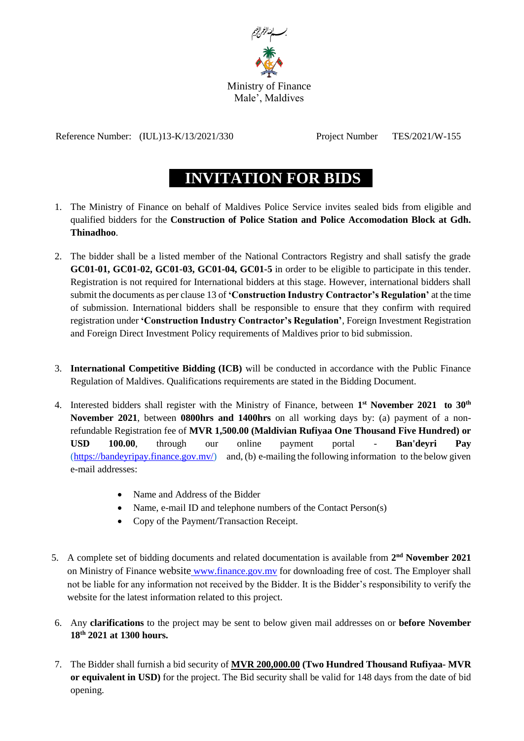

Reference Number: (IUL)13-K/13/2021/330 Project Number TES/2021/W-155

## **INVITATION FOR BIDS**

- 1. The Ministry of Finance on behalf of Maldives Police Service invites sealed bids from eligible and qualified bidders for the **Construction of Police Station and Police Accomodation Block at Gdh. Thinadhoo**.
- 2. The bidder shall be a listed member of the National Contractors Registry and shall satisfy the grade **GC01-01, GC01-02, GC01-03, GC01-04, GC01-5** in order to be eligible to participate in this tender. Registration is not required for International bidders at this stage. However, international bidders shall submit the documents as per clause 13 of **'Construction Industry Contractor's Regulation'** at the time of submission. International bidders shall be responsible to ensure that they confirm with required registration under **'Construction Industry Contractor's Regulation'**, Foreign Investment Registration and Foreign Direct Investment Policy requirements of Maldives prior to bid submission.
- 3. **International Competitive Bidding (ICB)** will be conducted in accordance with the Public Finance Regulation of Maldives. Qualifications requirements are stated in the Bidding Document.
- 4. Interested bidders shall register with the Ministry of Finance, between **1 st November 2021 to 30th November 2021**, between **0800hrs and 1400hrs** on all working days by: (a) payment of a nonrefundable Registration fee of **MVR 1,500.00 (Maldivian Rufiyaa One Thousand Five Hundred) or USD 100.00**, through our online payment portal - **Ban'deyri Pay** [\(https://bandeyripay.finance.gov.mv/\)](https://bandeyripay.finance.gov.mv/) and, (b) e-mailing the following information to the below given e-mail addresses:
	- Name and Address of the Bidder
	- Name, e-mail ID and telephone numbers of the Contact Person(s)
	- Copy of the Payment/Transaction Receipt.
- 5. A complete set of bidding documents and related documentation is available from  $2<sup>nd</sup>$  **November** 2021 on Ministry of Finance website [www.finance.gov.mv](http://www.finance.gov.mv/) for downloading free of cost. The Employer shall not be liable for any information not received by the Bidder. It is the Bidder's responsibility to verify the website for the latest information related to this project.
- 6. Any **clarifications** to the project may be sent t[o](mailto:64@finance.gov.mv) below given mail addresses on or **before November 18 th 2021 at 1300 hours.**
- 7. The Bidder shall furnish a bid security of **MVR 200,000.00 (Two Hundred Thousand Rufiyaa- MVR or equivalent in USD)** for the project. The Bid security shall be valid for 148 days from the date of bid opening.